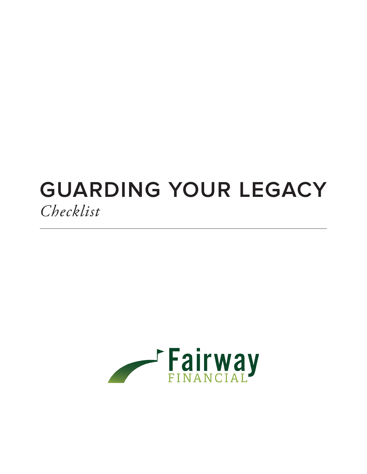## **GUARDING YOUR LEGACY** *Checklist*

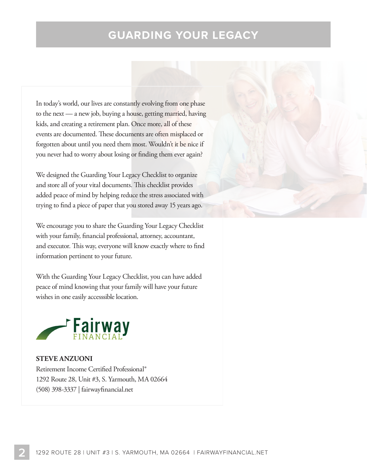## **GUARDING YOUR LEGACY**

In today's world, our lives are constantly evolving from one phase to the next — a new job, buying a house, getting married, having kids, and creating a retirement plan. Once more, all of these events are documented. These documents are often misplaced or forgotten about until you need them most. Wouldn't it be nice if you never had to worry about losing or finding them ever again?

We designed the Guarding Your Legacy Checklist to organize and store all of your vital documents. This checklist provides added peace of mind by helping reduce the stress associated with trying to find a piece of paper that you stored away 15 years ago.

We encourage you to share the Guarding Your Legacy Checklist with your family, financial professional, attorney, accountant, and executor. This way, everyone will know exactly where to find information pertinent to your future.

With the Guarding Your Legacy Checklist, you can have added peace of mind knowing that your family will have your future wishes in one easily accesssible location.



**STEVE ANZUONI**  Retirement Income Certified Professional® 1292 Route 28, Unit #3, S. Yarmouth, MA 02664 (508) 398-3337 | fairwayfinancial.net

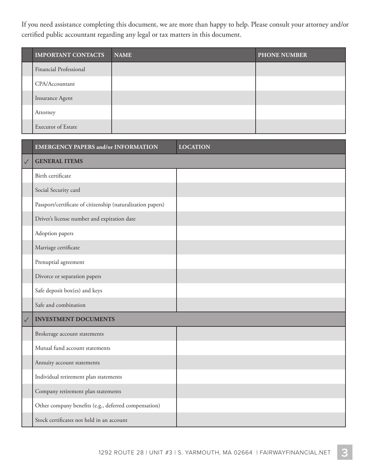If you need assistance completing this document, we are more than happy to help. Please consult your attorney and/or certified public accountant regarding any legal or tax matters in this document.

| <b>IMPORTANT CONTACTS</b> | <b>NAME</b> | <b>PHONE NUMBER</b> |
|---------------------------|-------------|---------------------|
| Financial Professional    |             |                     |
| CPA/Accountant            |             |                     |
| Insurance Agent           |             |                     |
| Attorney                  |             |                     |
| Executor of Estate        |             |                     |

|              | <b>EMERGENCY PAPERS and/or INFORMATION</b>                  | <b>LOCATION</b> |
|--------------|-------------------------------------------------------------|-----------------|
| $\checkmark$ | <b>GENERAL ITEMS</b>                                        |                 |
|              | Birth certificate                                           |                 |
|              | Social Security card                                        |                 |
|              | Passport/certificate of citizenship (naturalization papers) |                 |
|              | Driver's license number and expiration date                 |                 |
|              | Adoption papers                                             |                 |
|              | Marriage certificate                                        |                 |
|              | Prenuptial agreement                                        |                 |
|              | Divorce or separation papers                                |                 |
|              | Safe deposit box(es) and keys                               |                 |
|              | Safe and combination                                        |                 |
| $\checkmark$ | <b>INVESTMENT DOCUMENTS</b>                                 |                 |
|              | Brokerage account statements                                |                 |
|              | Mutual fund account statements                              |                 |
|              | Annuity account statements                                  |                 |
|              | Individual retirement plan statements                       |                 |
|              | Company retirement plan statements                          |                 |
|              | Other company benefits (e.g., deferred compensation)        |                 |
|              | Stock certificates not held in an account                   |                 |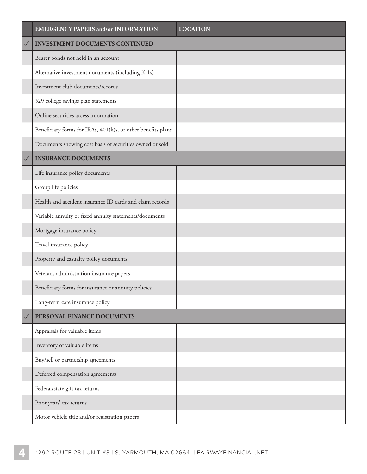|              | <b>EMERGENCY PAPERS and/or INFORMATION</b>                   | <b>LOCATION</b> |
|--------------|--------------------------------------------------------------|-----------------|
| $\checkmark$ | <b>INVESTMENT DOCUMENTS CONTINUED</b>                        |                 |
|              | Bearer bonds not held in an account                          |                 |
|              | Alternative investment documents (including K-1s)            |                 |
|              | Investment club documents/records                            |                 |
|              | 529 college savings plan statements                          |                 |
|              | Online securities access information                         |                 |
|              | Beneficiary forms for IRAs, 401(k)s, or other benefits plans |                 |
|              | Documents showing cost basis of securities owned or sold     |                 |
| $\checkmark$ | <b>INSURANCE DOCUMENTS</b>                                   |                 |
|              | Life insurance policy documents                              |                 |
|              | Group life policies                                          |                 |
|              | Health and accident insurance ID cards and claim records     |                 |
|              | Variable annuity or fixed annuity statements/documents       |                 |
|              | Mortgage insurance policy                                    |                 |
|              | Travel insurance policy                                      |                 |
|              | Property and casualty policy documents                       |                 |
|              | Veterans administration insurance papers                     |                 |
|              | Beneficiary forms for insurance or annuity policies          |                 |
|              | Long-term care insurance policy                              |                 |
| $\checkmark$ | PERSONAL FINANCE DOCUMENTS                                   |                 |
|              | Appraisals for valuable items                                |                 |
|              | Inventory of valuable items                                  |                 |
|              | Buy/sell or partnership agreements                           |                 |
|              | Deferred compensation agreements                             |                 |
|              | Federal/state gift tax returns                               |                 |
|              | Prior years' tax returns                                     |                 |
|              | Motor vehicle title and/or registration papers               |                 |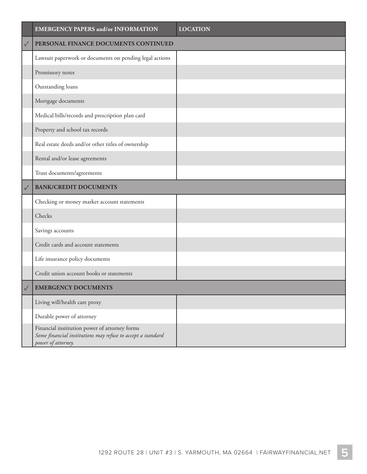|              | <b>EMERGENCY PAPERS and/or INFORMATION</b>                                                                                         | <b>LOCATION</b> |
|--------------|------------------------------------------------------------------------------------------------------------------------------------|-----------------|
| $\checkmark$ | PERSONAL FINANCE DOCUMENTS CONTINUED                                                                                               |                 |
|              | Lawsuit paperwork or documents on pending legal actions                                                                            |                 |
|              | Promissory notes                                                                                                                   |                 |
|              | Outstanding loans                                                                                                                  |                 |
|              | Mortgage documents                                                                                                                 |                 |
|              | Medical bills/records and prescription plan card                                                                                   |                 |
|              | Property and school tax records                                                                                                    |                 |
|              | Real estate deeds and/or other titles of ownership                                                                                 |                 |
|              | Rental and/or lease agreements                                                                                                     |                 |
|              | Trust documents/agreements                                                                                                         |                 |
| $\checkmark$ | <b>BANK/CREDIT DOCUMENTS</b>                                                                                                       |                 |
|              | Checking or money market account statements                                                                                        |                 |
|              | Checks                                                                                                                             |                 |
|              | Savings accounts                                                                                                                   |                 |
|              | Credit cards and account statements                                                                                                |                 |
|              | Life insurance policy documents                                                                                                    |                 |
|              | Credit union account books or statements                                                                                           |                 |
| $\sqrt{}$    | <b>EMERGENCY DOCUMENTS</b>                                                                                                         |                 |
|              | Living will/health care proxy                                                                                                      |                 |
|              | Durable power of attorney                                                                                                          |                 |
|              | Financial institution power of attorney forms<br>Some financial institutions may refuse to accept a standard<br>power of attorney. |                 |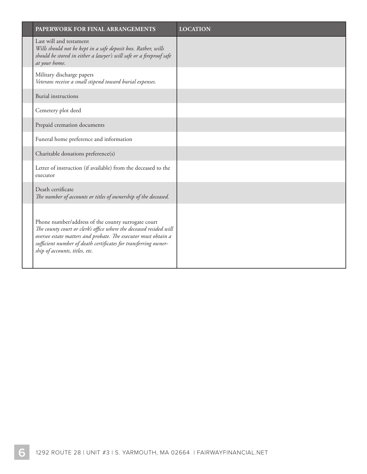| <b>PAPERWORK FOR FINAL ARRANGEMENTS</b>                                                                                                                                                                                                                                                         | <b>LOCATION</b> |
|-------------------------------------------------------------------------------------------------------------------------------------------------------------------------------------------------------------------------------------------------------------------------------------------------|-----------------|
| Last will and testament<br>Wills should not be kept in a safe deposit box. Rather, wills<br>should be stored in either a lawyer's will safe or a fireproof safe<br>at your home.                                                                                                                |                 |
| Military discharge papers<br>Veterans receive a small stipend toward burial expenses.                                                                                                                                                                                                           |                 |
| <b>Burial instructions</b>                                                                                                                                                                                                                                                                      |                 |
| Cemetery plot deed                                                                                                                                                                                                                                                                              |                 |
| Prepaid cremation documents                                                                                                                                                                                                                                                                     |                 |
| Funeral home preference and information                                                                                                                                                                                                                                                         |                 |
| Charitable donations preference(s)                                                                                                                                                                                                                                                              |                 |
| Letter of instruction (if available) from the deceased to the<br>executor                                                                                                                                                                                                                       |                 |
| Death certificate<br>The number of accounts or titles of ownership of the deceased.                                                                                                                                                                                                             |                 |
| Phone number/address of the county surrogate court<br>The county court or clerk's office where the deceased resided will<br>oversee estate matters and probate. The executor must obtain a<br>sufficient number of death certificates for transferring owner-<br>ship of accounts, titles, etc. |                 |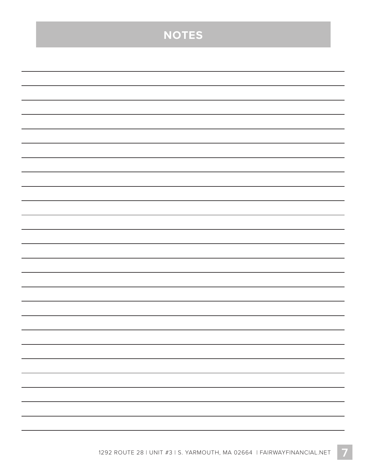| <b>NOTES</b> |
|--------------|
|              |
|              |
|              |
|              |
|              |
|              |
|              |
|              |
|              |
|              |
|              |
|              |
|              |
|              |
|              |
|              |
|              |
|              |
|              |
|              |
|              |
|              |
|              |
|              |
|              |
|              |